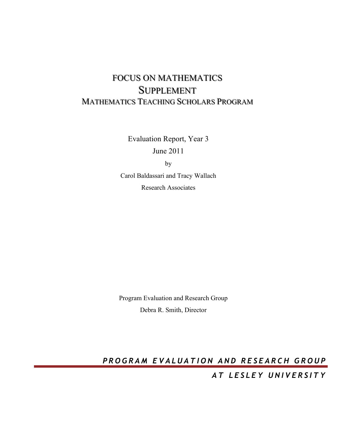# FOCUS ON MATHEMATICS SUPPLEMENT MATHEMATICS TEACHING SCHOLARS PROGRAM

Evaluation Report, Year 3

June 2011

by

Carol Baldassari and Tracy Wallach Research Associates

Program Evaluation and Research Group Debra R. Smith, Director

**PROGRAM EVALUATION AND RESEARCH GROUP** 

*AT LESLEY UNIVERSITY*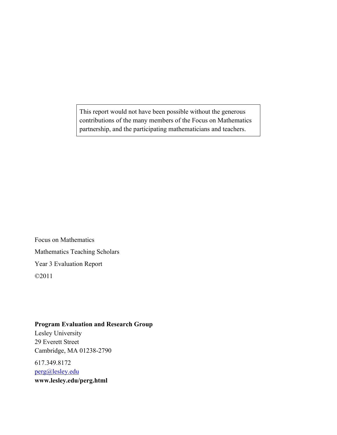This report would not have been possible without the generous contributions of the many members of the Focus on Mathematics partnership, and the participating mathematicians and teachers.

Focus on Mathematics Mathematics Teaching Scholars Year 3 Evaluation Report ©2011

# **Program Evaluation and Research Group**

Lesley University 29 Everett Street Cambridge, MA 01238-2790

617.349.8172 perg@lesley.edu **www.lesley.edu/perg.html**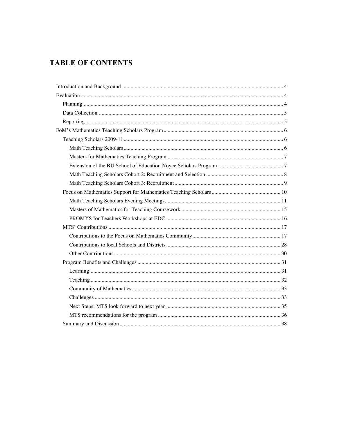# **TABLE OF CONTENTS**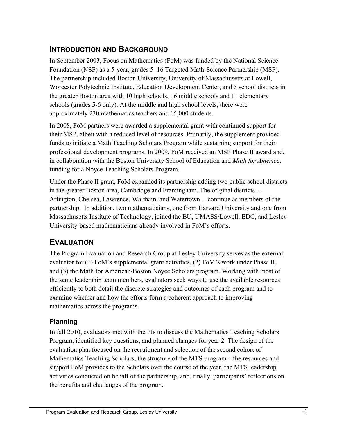# **INTRODUCTION AND BACKGROUND**

In September 2003, Focus on Mathematics (FoM) was funded by the National Science Foundation (NSF) as a 5-year, grades 5–16 Targeted Math-Science Partnership (MSP). The partnership included Boston University, University of Massachusetts at Lowell, Worcester Polytechnic Institute, Education Development Center, and 5 school districts in the greater Boston area with 10 high schools, 16 middle schools and 11 elementary schools (grades 5-6 only). At the middle and high school levels, there were approximately 230 mathematics teachers and 15,000 students.

In 2008, FoM partners were awarded a supplemental grant with continued support for their MSP, albeit with a reduced level of resources. Primarily, the supplement provided funds to initiate a Math Teaching Scholars Program while sustaining support for their professional development programs. In 2009, FoM received an MSP Phase II award and, in collaboration with the Boston University School of Education and *Math for America,*  funding for a Noyce Teaching Scholars Program.

Under the Phase II grant, FoM expanded its partnership adding two public school districts in the greater Boston area, Cambridge and Framingham. The original districts -- Arlington, Chelsea, Lawrence, Waltham, and Watertown -- continue as members of the partnership. In addition, two mathematicians, one from Harvard University and one from Massachusetts Institute of Technology, joined the BU, UMASS/Lowell, EDC, and Lesley University-based mathematicians already involved in FoM's efforts.

# **EVALUATION**

The Program Evaluation and Research Group at Lesley University serves as the external evaluator for (1) FoM's supplemental grant activities, (2) FoM's work under Phase II, and (3) the Math for American/Boston Noyce Scholars program. Working with most of the same leadership team members, evaluators seek ways to use the available resources efficiently to both detail the discrete strategies and outcomes of each program and to examine whether and how the efforts form a coherent approach to improving mathematics across the programs.

# **Planning**

In fall 2010, evaluators met with the PIs to discuss the Mathematics Teaching Scholars Program, identified key questions, and planned changes for year 2. The design of the evaluation plan focused on the recruitment and selection of the second cohort of Mathematics Teaching Scholars, the structure of the MTS program – the resources and support FoM provides to the Scholars over the course of the year, the MTS leadership activities conducted on behalf of the partnership, and, finally, participants' reflections on the benefits and challenges of the program.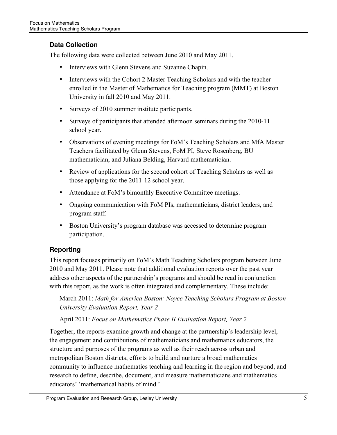# **Data Collection**

The following data were collected between June 2010 and May 2011.

- Interviews with Glenn Stevens and Suzanne Chapin.
- Interviews with the Cohort 2 Master Teaching Scholars and with the teacher enrolled in the Master of Mathematics for Teaching program (MMT) at Boston University in fall 2010 and May 2011.
- Surveys of 2010 summer institute participants.
- Surveys of participants that attended afternoon seminars during the 2010-11 school year.
- Observations of evening meetings for FoM's Teaching Scholars and MfA Master Teachers facilitated by Glenn Stevens, FoM PI, Steve Rosenberg, BU mathematician, and Juliana Belding, Harvard mathematician.
- Review of applications for the second cohort of Teaching Scholars as well as those applying for the 2011-12 school year.
- Attendance at FoM's bimonthly Executive Committee meetings.
- Ongoing communication with FoM PIs, mathematicians, district leaders, and program staff.
- Boston University's program database was accessed to determine program participation.

# **Reporting**

This report focuses primarily on FoM's Math Teaching Scholars program between June 2010 and May 2011. Please note that additional evaluation reports over the past year address other aspects of the partnership's programs and should be read in conjunction with this report, as the work is often integrated and complementary. These include:

March 2011: *Math for America Boston: Noyce Teaching Scholars Program at Boston University Evaluation Report, Year 2*

April 2011: *Focus on Mathematics Phase II Evaluation Report, Year 2*

Together, the reports examine growth and change at the partnership's leadership level, the engagement and contributions of mathematicians and mathematics educators, the structure and purposes of the programs as well as their reach across urban and metropolitan Boston districts, efforts to build and nurture a broad mathematics community to influence mathematics teaching and learning in the region and beyond, and research to define, describe, document, and measure mathematicians and mathematics educators' 'mathematical habits of mind.'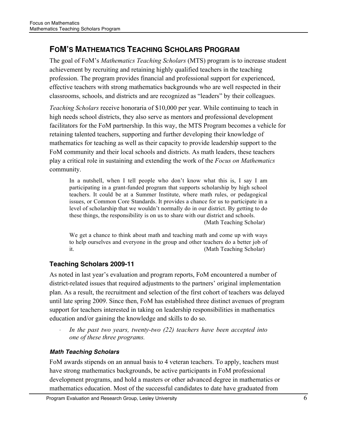# **FOM'S MATHEMATICS TEACHING SCHOLARS PROGRAM**

The goal of FoM's *Mathematics Teaching Scholars* (MTS) program is to increase student achievement by recruiting and retaining highly qualified teachers in the teaching profession. The program provides financial and professional support for experienced, effective teachers with strong mathematics backgrounds who are well respected in their classrooms, schools, and districts and are recognized as "leaders" by their colleagues.

*Teaching Scholars* receive honoraria of \$10,000 per year. While continuing to teach in high needs school districts, they also serve as mentors and professional development facilitators for the FoM partnership. In this way, the MTS Program becomes a vehicle for retaining talented teachers, supporting and further developing their knowledge of mathematics for teaching as well as their capacity to provide leadership support to the FoM community and their local schools and districts. As math leaders, these teachers play a critical role in sustaining and extending the work of the *Focus on Mathematics*  community.

In a nutshell, when I tell people who don't know what this is, I say I am participating in a grant-funded program that supports scholarship by high school teachers. It could be at a Summer Institute, where math rules, or pedagogical issues, or Common Core Standards. It provides a chance for us to participate in a level of scholarship that we wouldn't normally do in our district. By getting to do these things, the responsibility is on us to share with our district and schools. (Math Teaching Scholar)

We get a chance to think about math and teaching math and come up with ways to help ourselves and everyone in the group and other teachers do a better job of it. **(Math Teaching Scholar) (Math Teaching Scholar)** 

# **Teaching Scholars 2009-11**

As noted in last year's evaluation and program reports, FoM encountered a number of district-related issues that required adjustments to the partners' original implementation plan. As a result, the recruitment and selection of the first cohort of teachers was delayed until late spring 2009. Since then, FoM has established three distinct avenues of program support for teachers interested in taking on leadership responsibilities in mathematics education and/or gaining the knowledge and skills to do so.

· *In the past two years, twenty-two (22) teachers have been accepted into one of these three programs.*

# *Math Teaching Scholars*

FoM awards stipends on an annual basis to 4 veteran teachers. To apply, teachers must have strong mathematics backgrounds, be active participants in FoM professional development programs, and hold a masters or other advanced degree in mathematics or mathematics education. Most of the successful candidates to date have graduated from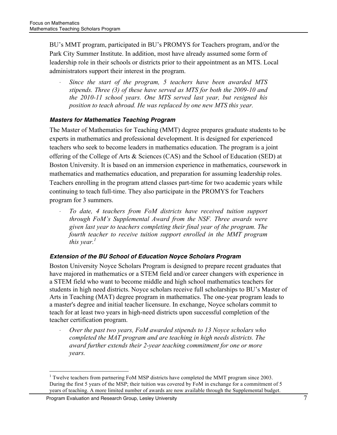BU's MMT program, participated in BU's PROMYS for Teachers program, and/or the Park City Summer Institute. In addition, most have already assumed some form of leadership role in their schools or districts prior to their appointment as an MTS. Local administrators support their interest in the program.

Since the start of the program, 5 teachers have been awarded MTS *stipends. Three (3) of these have served as MTS for both the 2009-10 and the 2010-11 school years. One MTS served last year, but resigned his position to teach abroad. He was replaced by one new MTS this year.*

#### *Masters for Mathematics Teaching Program*

The Master of Mathematics for Teaching (MMT) degree prepares graduate students to be experts in mathematics and professional development. It is designed for experienced teachers who seek to become leaders in mathematics education. The program is a joint offering of the College of Arts & Sciences (CAS) and the School of Education (SED) at Boston University. It is based on an immersion experience in mathematics, coursework in mathematics and mathematics education, and preparation for assuming leadership roles. Teachers enrolling in the program attend classes part-time for two academic years while continuing to teach full-time. They also participate in the PROMYS for Teachers program for 3 summers.

· *To date, 4 teachers from FoM districts have received tuition support through FoM's Supplemental Award from the NSF. Three awards were given last year to teachers completing their final year of the program. The fourth teacher to receive tuition support enrolled in the MMT program this year.*<sup>1</sup>

#### *Extension of the BU School of Education Noyce Scholars Program*

Boston University Noyce Scholars Program is designed to prepare recent graduates that have majored in mathematics or a STEM field and/or career changers with experience in a STEM field who want to become middle and high school mathematics teachers for students in high need districts. Noyce scholars receive full scholarships to BU's Master of Arts in Teaching (MAT) degree program in mathematics. The one-year program leads to a master's degree and initial teacher licensure. In exchange, Noyce scholars commit to teach for at least two years in high-need districts upon successful completion of the teacher certification program.

· *Over the past two years, FoM awarded stipends to 13 Noyce scholars who completed the MAT program and are teaching in high needs districts. The award further extends their 2-year teaching commitment for one or more years.*

Program Evaluation and Research Group, Lesley University **From Austice 2018** 7

 $\frac{1}{1}$  $1$  Twelve teachers from partnering FoM MSP districts have completed the MMT program since 2003. During the first 5 years of the MSP; their tuition was covered by FoM in exchange for a commitment of 5 years of teaching. A more limited number of awards are now available through the Supplemental budget.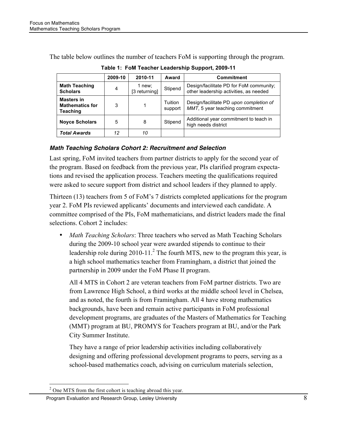The table below outlines the number of teachers FoM is supporting through the program.

|                                                                | 2009-10 | 2010-11                 | Award              | Commitment                                                                        |
|----------------------------------------------------------------|---------|-------------------------|--------------------|-----------------------------------------------------------------------------------|
| <b>Math Teaching</b><br><b>Scholars</b>                        | 4       | 1 new;<br>[3 returning] | Stipend            | Design/facilitate PD for FoM community:<br>other leadership activities, as needed |
| <b>Masters in</b><br><b>Mathematics for</b><br><b>Teaching</b> | 3       |                         | Tuition<br>support | Design/facilitate PD upon completion of<br>MMT, 5 year teaching commitment        |
| <b>Noyce Scholars</b>                                          | 5       | 8                       | Stipend            | Additional year commitment to teach in<br>high needs district                     |
| <b>Total Awards</b>                                            | 12      | 10                      |                    |                                                                                   |

**Table 1: FoM Teacher Leadership Support, 2009-11**

# *Math Teaching Scholars Cohort 2: Recruitment and Selection*

Last spring, FoM invited teachers from partner districts to apply for the second year of the program. Based on feedback from the previous year, PIs clarified program expectations and revised the application process. Teachers meeting the qualifications required were asked to secure support from district and school leaders if they planned to apply.

Thirteen (13) teachers from 5 of FoM's 7 districts completed applications for the program year 2. FoM PIs reviewed applicants' documents and interviewed each candidate. A committee comprised of the PIs, FoM mathematicians, and district leaders made the final selections. Cohort 2 includes:

• *Math Teaching Scholars*: Three teachers who served as Math Teaching Scholars during the 2009-10 school year were awarded stipends to continue to their leadership role during  $2010 - 11$ <sup>2</sup>. The fourth MTS, new to the program this year, is a high school mathematics teacher from Framingham, a district that joined the partnership in 2009 under the FoM Phase II program.

All 4 MTS in Cohort 2 are veteran teachers from FoM partner districts. Two are from Lawrence High School, a third works at the middle school level in Chelsea, and as noted, the fourth is from Framingham. All 4 have strong mathematics backgrounds, have been and remain active participants in FoM professional development programs, are graduates of the Masters of Mathematics for Teaching (MMT) program at BU, PROMYS for Teachers program at BU, and/or the Park City Summer Institute.

They have a range of prior leadership activities including collaboratively designing and offering professional development programs to peers, serving as a school-based mathematics coach, advising on curriculum materials selection,

 $\frac{1}{2}$  $2^{\circ}$  One MTS from the first cohort is teaching abroad this year.

Program Evaluation and Research Group, Lesley University 8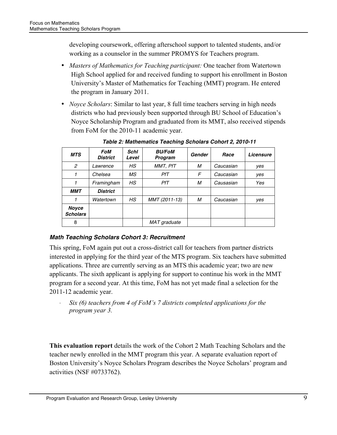developing coursework, offering afterschool support to talented students, and/or working as a counselor in the summer PROMYS for Teachers program.

- *Masters of Mathematics for Teaching participant:* One teacher from Watertown High School applied for and received funding to support his enrollment in Boston University's Master of Mathematics for Teaching (MMT) program. He entered the program in January 2011.
- *Noyce Scholars*: Similar to last year, 8 full time teachers serving in high needs districts who had previously been supported through BU School of Education's Noyce Scholarship Program and graduated from its MMT, also received stipends from FoM for the 2010-11 academic year.

| <b>MTS</b>               | FoM<br><b>District</b> | <b>Schl</b><br>Level | <b>BU/FoM</b><br>Program | <b>Gender</b> | Race      | Licensure |
|--------------------------|------------------------|----------------------|--------------------------|---------------|-----------|-----------|
| $\overline{c}$           | Lawrence               | НS                   | MMT, PfT                 | м             | Caucasian | yes       |
|                          | Chelsea                | МS                   | PfT                      | F             | Caucasian | yes       |
|                          | Framingham             | HS                   | PfT                      | М             | Causasian | Yes       |
| <b>MMT</b>               | <b>District</b>        |                      |                          |               |           |           |
|                          | Watertown              | HS                   | MMT (2011-13)            | м             | Caucasian | yes       |
| Noyce<br><b>Scholars</b> |                        |                      |                          |               |           |           |
| 8                        |                        |                      | MAT graduate             |               |           |           |

*Table 2: Mathematics Teaching Scholars Cohort 2, 2010-11*

# *Math Teaching Scholars Cohort 3: Recruitment*

This spring, FoM again put out a cross-district call for teachers from partner districts interested in applying for the third year of the MTS program. Six teachers have submitted applications. Three are currently serving as an MTS this academic year; two are new applicants. The sixth applicant is applying for support to continue his work in the MMT program for a second year. At this time, FoM has not yet made final a selection for the 2011-12 academic year.

· *Six (6) teachers from 4 of FoM's 7 districts completed applications for the program year 3.* 

**This evaluation report** details the work of the Cohort 2 Math Teaching Scholars and the teacher newly enrolled in the MMT program this year. A separate evaluation report of Boston University's Noyce Scholars Program describes the Noyce Scholars' program and activities (NSF #0733762).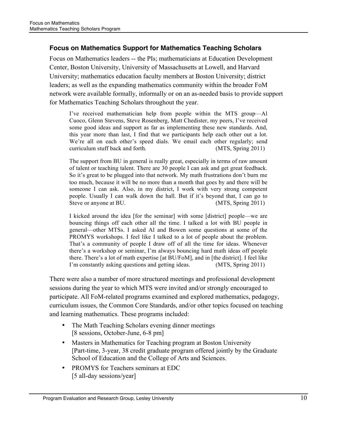### **Focus on Mathematics Support for Mathematics Teaching Scholars**

Focus on Mathematics leaders -- the PIs; mathematicians at Education Development Center, Boston University, University of Massachusetts at Lowell, and Harvard University; mathematics education faculty members at Boston University; district leaders; as well as the expanding mathematics community within the broader FoM network were available formally, informally or on an as-needed basis to provide support for Mathematics Teaching Scholars throughout the year.

I've received mathematician help from people within the MTS group—Al Cuoco, Glenn Stevens, Steve Rosenberg, Matt Chedister, my peers, I've received some good ideas and support as far as implementing these new standards. And, this year more than last, I find that we participants help each other out a lot. We're all on each other's speed dials. We email each other regularly; send curriculum stuff back and forth. (MTS, Spring 2011)

The support from BU in general is really great, especially in terms of raw amount of talent or teaching talent. There are 30 people I can ask and get great feedback. So it's great to be plugged into that network. My math frustrations don't burn me too much, because it will be no more than a month that goes by and there will be someone I can ask. Also, in my district, I work with very strong competent people. Usually I can walk down the hall. But if it's beyond that, I can go to Steve or anyone at BU. (MTS, Spring 2011)

I kicked around the idea [for the seminar] with some [district] people—we are bouncing things off each other all the time. I talked a lot with BU people in general—other MTSs. I asked Al and Bowen some questions at some of the PROMYS workshops. I feel like I talked to a lot of people about the problem. That's a community of people I draw off of all the time for ideas. Whenever there's a workshop or seminar, I'm always bouncing hard math ideas off people there. There's a lot of math expertise [at BU/FoM], and in [the district]. I feel like I'm constantly asking questions and getting ideas. (MTS, Spring 2011)

There were also a number of more structured meetings and professional development sessions during the year to which MTS were invited and/or strongly encouraged to participate. All FoM-related programs examined and explored mathematics, pedagogy, curriculum issues, the Common Core Standards, and/or other topics focused on teaching and learning mathematics. These programs included:

- The Math Teaching Scholars evening dinner meetings [8 sessions, October-June, 6-8 pm]
- Masters in Mathematics for Teaching program at Boston University [Part-time, 3-year, 38 credit graduate program offered jointly by the Graduate School of Education and the College of Arts and Sciences.
- PROMYS for Teachers seminars at EDC [5 all-day sessions/year]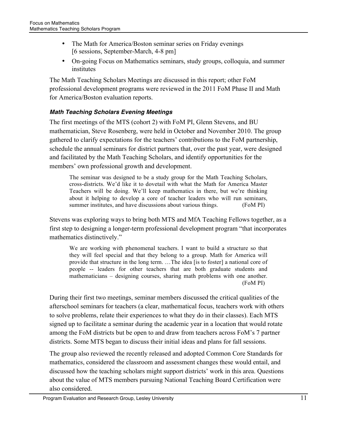- The Math for America/Boston seminar series on Friday evenings [6 sessions, September-March, 4-8 pm]
- On-going Focus on Mathematics seminars, study groups, colloquia, and summer institutes

The Math Teaching Scholars Meetings are discussed in this report; other FoM professional development programs were reviewed in the 2011 FoM Phase II and Math for America/Boston evaluation reports.

# *Math Teaching Scholars Evening Meetings*

The first meetings of the MTS (cohort 2) with FoM PI, Glenn Stevens, and BU mathematician, Steve Rosenberg, were held in October and November 2010. The group gathered to clarify expectations for the teachers' contributions to the FoM partnership, schedule the annual seminars for district partners that, over the past year, were designed and facilitated by the Math Teaching Scholars, and identify opportunities for the members' own professional growth and development.

The seminar was designed to be a study group for the Math Teaching Scholars, cross-districts. We'd like it to dovetail with what the Math for America Master Teachers will be doing. We'll keep mathematics in there, but we're thinking about it helping to develop a core of teacher leaders who will run seminars, summer institutes, and have discussions about various things. (FoM PI)

Stevens was exploring ways to bring both MTS and MfA Teaching Fellows together, as a first step to designing a longer-term professional development program "that incorporates mathematics distinctively."

We are working with phenomenal teachers. I want to build a structure so that they will feel special and that they belong to a group. Math for America will provide that structure in the long term. …The idea [is to foster] a national core of people -- leaders for other teachers that are both graduate students and mathematicians – designing courses, sharing math problems with one another. (FoM PI)

During their first two meetings, seminar members discussed the critical qualities of the afterschool seminars for teachers (a clear, mathematical focus, teachers work with others to solve problems, relate their experiences to what they do in their classes). Each MTS signed up to facilitate a seminar during the academic year in a location that would rotate among the FoM districts but be open to and draw from teachers across FoM's 7 partner districts. Some MTS began to discuss their initial ideas and plans for fall sessions.

The group also reviewed the recently released and adopted Common Core Standards for mathematics, considered the classroom and assessment changes these would entail, and discussed how the teaching scholars might support districts' work in this area. Questions about the value of MTS members pursuing National Teaching Board Certification were also considered.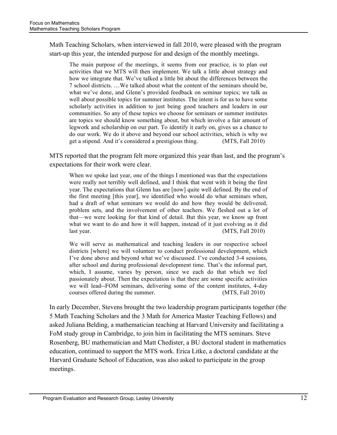Math Teaching Scholars, when interviewed in fall 2010, were pleased with the program start-up this year, the intended purpose for and design of the monthly meetings.

The main purpose of the meetings, it seems from our practice, is to plan out activities that we MTS will then implement. We talk a little about strategy and how we integrate that. We've talked a little bit about the differences between the 7 school districts. …We talked about what the content of the seminars should be, what we've done, and Glenn's provided feedback on seminar topics; we talk as well about possible topics for summer institutes. The intent is for us to have some scholarly activities in addition to just being good teachers and leaders in our communities. So any of these topics we choose for seminars or summer institutes are topics we should know something about, but which involve a fair amount of legwork and scholarship on our part. To identify it early on, gives us a chance to do our work. We do it above and beyond our school activities, which is why we get a stipend. And it's considered a prestigious thing. (MTS, Fall 2010)

MTS reported that the program felt more organized this year than last, and the program's expectations for their work were clear.

When we spoke last year, one of the things I mentioned was that the expectations were really not terribly well defined, and I think that went with it being the first year. The expectations that Glenn has are [now] quite well defined. By the end of the first meeting [this year], we identified who would do what seminars when, had a draft of what seminars we would do and how they would be delivered, problem sets, and the involvement of other teachers. We fleshed out a lot of that—we were looking for that kind of detail. But this year, we know up front what we want to do and how it will happen, instead of it just evolving as it did last year. (MTS, Fall 2010)

We will serve as mathematical and teaching leaders in our respective school districts [where] we will volunteer to conduct professional development, which I've done above and beyond what we've discussed. I've conducted 3-4 sessions, after school and during professional development time. That's the informal part, which, I assume, varies by person, since we each do that which we feel passionately about. Then the expectation is that there are some specific activities we will lead--FOM seminars, delivering some of the content institutes, 4-day courses offered during the summer. (MTS, Fall 2010)

In early December, Stevens brought the two leadership program participants together (the 5 Math Teaching Scholars and the 3 Math for America Master Teaching Fellows) and asked Juliana Belding, a mathematician teaching at Harvard University and facilitating a FoM study group in Cambridge, to join him in facilitating the MTS seminars. Steve Rosenberg, BU mathematician and Matt Chedister, a BU doctoral student in mathematics education, continued to support the MTS work. Erica Litke, a doctoral candidate at the Harvard Graduate School of Education, was also asked to participate in the group meetings.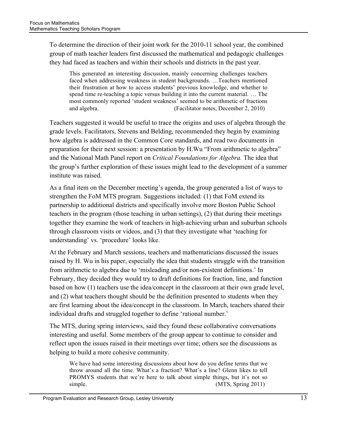To determine the direction of their joint work for the 2010-11 school year, the combined group of math teacher leaders first discussed the mathematical and pedagogic challenges they had faced as teachers and within their schools and districts in the past year.

This generated an interesting discussion, mainly concerning challenges teachers faced when addressing weakness in student backgrounds. …Teachers mentioned their frustration at how to access students' previous knowledge, and whether to spend time re-teaching a topic versus building it into the current material. … The most commonly reported 'student weakness' seemed to be arithmetic of fractions and algebra. (Facilitator notes, December 2, 2010)

Teachers suggested it would be useful to trace the origins and uses of algebra through the grade levels. Facilitators, Stevens and Belding, recommended they begin by examining how algebra is addressed in the Common Core standards, and read two documents in preparation for their next session: a presentation by H.Wu "From arithmetic to algebra" and the National Math Panel report on *Critical Foundations for Algebra.* The idea that the group's further exploration of these issues might lead to the development of a summer institute was raised.

As a final item on the December meeting's agenda, the group generated a list of ways to strengthen the FoM MTS program. Suggestions included: (1) that FoM extend its partnership to additional districts and specifically involve more Boston Public School teachers in the program (those teaching in urban settings), (2) that during their meetings together they examine the work of teachers in high-achieving urban and suburban schools through classroom visits or videos, and (3) that they investigate what 'teaching for understanding' vs. 'procedure' looks like.

At the February and March sessions, teachers and mathematicians discussed the issues raised by H. Wu in his paper, especially the idea that students struggle with the transition from arithmetic to algebra due to 'misleading and/or non-existent definitions.' In February, they decided they would try to draft definitions for fraction, line, and function based on how (1) teachers use the idea/concept in the classroom at their own grade level, and (2) what teachers thought should be the definition presented to students when they are first learning about the idea/concept in the classroom. In March, teachers shared their individual drafts and struggled together to define 'rational number.'

The MTS, during spring interviews, said they found these collaborative conversations interesting and useful. Some members of the group appear to continue to consider and reflect upon the issues raised in their meetings over time; others see the discussions as helping to build a more cohesive community.

We have had some interesting discussions about how do you define terms that we throw around all the time. What's a fraction? What's a line? Glenn likes to tell PROMYS students that we're here to talk about simple things, but it's not so simple. (MTS, Spring 2011)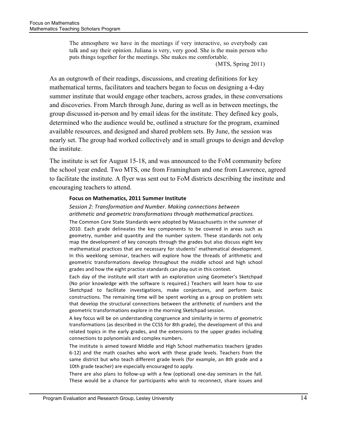The atmosphere we have in the meetings if very interactive, so everybody can talk and say their opinion. Juliana is very, very good. She is the main person who puts things together for the meetings. She makes me comfortable.

(MTS, Spring 2011)

As an outgrowth of their readings, discussions, and creating definitions for key mathematical terms, facilitators and teachers began to focus on designing a 4-day summer institute that would engage other teachers, across grades, in these conversations and discoveries. From March through June, during as well as in between meetings, the group discussed in-person and by email ideas for the institute. They defined key goals, determined who the audience would be, outlined a structure for the program, examined available resources, and designed and shared problem sets. By June, the session was nearly set. The group had worked collectively and in small groups to design and develop the institute.

The institute is set for August 15-18, and was announced to the FoM community before the school year ended. Two MTS, one from Framingham and one from Lawrence, agreed to facilitate the institute. A flyer was sent out to FoM districts describing the institute and encouraging teachers to attend.

#### **Focus on Mathematics, 2011 Summer Institute**

#### **Session 2: Transformation and Number. Making connections between** arithmetic and geometric transformations through mathematical practices.

The Common Core State Standards were adopted by Massachusetts in the summer of 2010. Each grade delineates the key components to be covered in areas such as geometry, number and quantity and the number system. These standards not only map the development of key concepts through the grades but also discuss eight key mathematical practices that are necessary for students' mathematical development. In this weeklong seminar, teachers will explore how the threads of arithmetic and geometric transformations develop throughout the middle school and high school grades and how the eight practice standards can play out in this context.

Each day of the institute will start with an exploration using Geometer's Sketchpad (No prior knowledge with the software is required.) Teachers will learn how to use Sketchpad to facilitate investigations, make conjectures, and perform basic constructions. The remaining time will be spent working as a group on problem sets that develop the structural connections between the arithmetic of numbers and the geometric transformations explore in the morning Sketchpad session.

A key focus will be on understanding congruence and similarity in terms of geometric transformations (as described in the CCSS for 8th grade), the development of this and related topics in the early grades, and the extensions to the upper grades including connections to polynomials and complex numbers.

The institute is aimed toward Middle and High School mathematics teachers (grades 6-12) and the math coaches who work with these grade levels. Teachers from the same district but who teach different grade levels (for example, an 8th grade and a 10th grade teacher) are especially encouraged to apply.

There are also plans to follow-up with a few (optional) one-day seminars in the fall. These would be a chance for participants who wish to reconnect, share issues and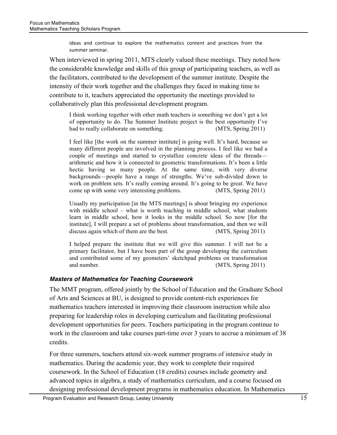ideas and continue to explore the mathematics content and practices from the summer seminar

When interviewed in spring 2011, MTS clearly valued these meetings. They noted how the considerable knowledge and skills of this group of participating teachers, as well as the facilitators, contributed to the development of the summer institute. Despite the intensity of their work together and the challenges they faced in making time to contribute to it, teachers appreciated the opportunity the meetings provided to collaboratively plan this professional development program.

I think working together with other math teachers is something we don't get a lot of opportunity to do. The Summer Institute project is the best opportunity I've had to really collaborate on something. (MTS, Spring 2011)

I feel like [the work on the summer institute] is going well. It's hard, because so many different people are involved in the planning process. I feel like we had a couple of meetings and started to crystallize concrete ideas of the threads arithmetic and how it is connected to geometric transformations. It's been a little hectic having so many people. At the same time, with very diverse backgrounds—people have a range of strengths. We've sub-divided down to work on problem sets. It's really coming around. It's going to be great. We have come up with some very interesting problems. (MTS, Spring 2011)

Usually my participation [in the MTS meetings] is about bringing my experience with middle school – what is worth teaching in middle school, what students learn in middle school, how it looks in the middle school. So now [for the institute], I will prepare a set of problems about transformation, and then we will discuss again which of them are the best. (MTS, Spring 2011)

I helped prepare the institute that we will give this summer. I will not be a primary facilitator, but I have been part of the group developing the curriculum and contributed some of my geometers' sketchpad problems on transformation and number. (MTS, Spring 2011)

#### *Masters of Mathematics for Teaching Coursework*

The MMT program, offered jointly by the School of Education and the Graduate School of Arts and Sciences at BU, is designed to provide content-rich experiences for mathematics teachers interested in improving their classroom instruction while also preparing for leadership roles in developing curriculum and facilitating professional development opportunities for peers. Teachers participating in the program continue to work in the classroom and take courses part-time over 3 years to accrue a minimum of 38 credits.

For three summers, teachers attend six-week summer programs of intensive study in mathematics. During the academic year, they work to complete their required coursework. In the School of Education (18 credits) courses include geometry and advanced topics in algebra, a study of mathematics curriculum, and a course focused on designing professional development programs in mathematics education. In Mathematics

Program Evaluation and Research Group, Lesley University 15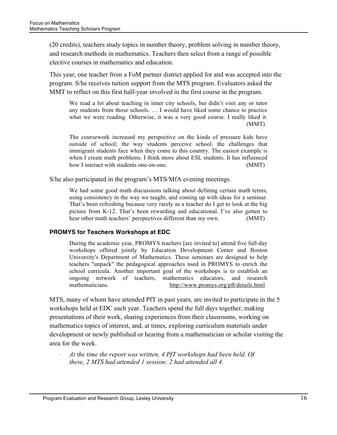(20 credits), teachers study topics in number theory, problem solving in number theory, and research methods in mathematics. Teachers then select from a range of possible elective courses in mathematics and education.

This year, one teacher from a FoM partner district applied for and was accepted into the program. S/he receives tuition support from the MTS program. Evaluators asked the MMT to reflect on this first half-year involved in the first course in the program.

We read a lot about teaching in inner city schools, but didn't visit any or tutor any students from those schools. … I would have liked some chance to practice what we were reading. Otherwise, it was a very good course. I really liked it. (MMT)

The coursework increased my perspective on the kinds of pressure kids have outside of school; the way students perceive school, the challenges that immigrant students face when they come to this country. The easiest example is when I create math problems. I think more about ESL students. It has influenced how I interact with students one-on-one. (MMT)

S/he also participated in the program's MTS/MfA evening meetings.

We had some good math discussions talking about defining certain math terms, using consistency in the way we taught, and coming up with ideas for a seminar. That's been refreshing because very rarely as a teacher do I get to look at the big picture from K-12. That's been rewarding and educational. I've also gotten to hear other math teachers' perspectives different than my own. (MMT)

#### **PROMYS for Teachers Workshops at EDC**

During the academic year, PROMYS teachers [are invited to] attend five full-day workshops offered jointly by Education Development Center and Boston University's Department of Mathematics. These seminars are designed to help teachers "unpack" the pedagogical approaches used in PROMYS to enrich the school curricula. Another important goal of the workshops is to establish an ongoing network of teachers, mathematics educators, and research mathematicians. http://www.promys.org/pft/details.html

MTS, many of whom have attended PfT in past years, are invited to participate in the 5 workshops held at EDC each year. Teachers spend the full days together, making presentations of their work, sharing experiences from their classrooms, working on mathematics topics of interest, and, at times, exploring curriculum materials under development or newly published or hearing from a mathematician or scholar visiting the area for the week.

At the time the report was written, 4 PfT workshops had been held. Of *these, 2 MTS had attended 1 session; 2 had attended all 4.*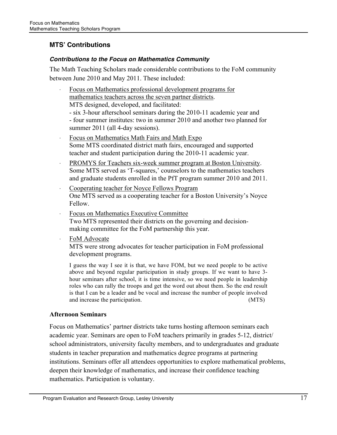# **MTS' Contributions**

#### *Contributions to the Focus on Mathematics Community*

The Math Teaching Scholars made considerable contributions to the FoM community between June 2010 and May 2011. These included:

- Focus on Mathematics professional development programs for mathematics teachers across the seven partner districts. MTS designed, developed, and facilitated: - six 3-hour afterschool seminars during the 2010-11 academic year and - four summer institutes: two in summer 2010 and another two planned for summer 2011 (all 4-day sessions).
- Focus on Mathematics Math Fairs and Math Expo Some MTS coordinated district math fairs, encouraged and supported teacher and student participation during the 2010-11 academic year.
- PROMYS for Teachers six-week summer program at Boston University. Some MTS served as 'T-squares,' counselors to the mathematics teachers and graduate students enrolled in the PfT program summer 2010 and 2011.
- · Cooperating teacher for Noyce Fellows Program One MTS served as a cooperating teacher for a Boston University's Noyce Fellow.
- Focus on Mathematics Executive Committee Two MTS represented their districts on the governing and decisionmaking committee for the FoM partnership this year.
- FoM Advocate

MTS were strong advocates for teacher participation in FoM professional development programs.

I guess the way I see it is that, we have FOM, but we need people to be active above and beyond regular participation in study groups. If we want to have 3 hour seminars after school, it is time intensive, so we need people in leadership roles who can rally the troops and get the word out about them. So the end result is that I can be a leader and be vocal and increase the number of people involved and increase the participation. (MTS)

#### **Afternoon Seminars**

Focus on Mathematics' partner districts take turns hosting afternoon seminars each academic year. Seminars are open to FoM teachers primarily in grades 5-12, district/ school administrators, university faculty members, and to undergraduates and graduate students in teacher preparation and mathematics degree programs at partnering institutions. Seminars offer all attendees opportunities to explore mathematical problems, deepen their knowledge of mathematics, and increase their confidence teaching mathematics. Participation is voluntary.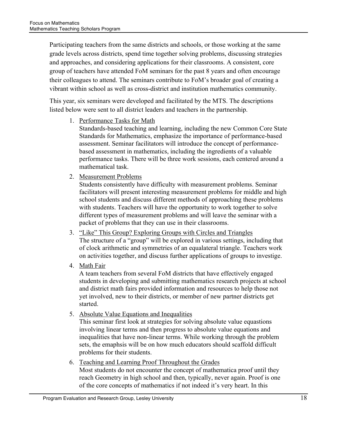Participating teachers from the same districts and schools, or those working at the same grade levels across districts, spend time together solving problems, discussing strategies and approaches, and considering applications for their classrooms. A consistent, core group of teachers have attended FoM seminars for the past 8 years and often encourage their colleagues to attend. The seminars contribute to FoM's broader goal of creating a vibrant within school as well as cross-district and institution mathematics community.

This year, six seminars were developed and facilitated by the MTS. The descriptions listed below were sent to all district leaders and teachers in the partnership.

1. Performance Tasks for Math

Standards-based teaching and learning, including the new Common Core State Standards for Mathematics, emphasize the importance of performance-based assessment. Seminar facilitators will introduce the concept of performancebased assessment in mathematics, including the ingredients of a valuable performance tasks. There will be three work sessions, each centered around a mathematical task.

2. Measurement Problems

Students consistently have difficulty with measurement problems. Seminar facilitators will present interesting measurement problems for middle and high school students and discuss different methods of approaching these problems with students. Teachers will have the opportunity to work together to solve different types of measurement problems and will leave the seminar with a packet of problems that they can use in their classrooms.

- 3. "Like" This Group? Exploring Groups with Circles and Triangles The structure of a "group" will be explored in various settings, including that of clock arithmetic and symmetries of an equalateral triangle. Teachers work on activities together, and discuss further applications of groups to investige.
- 4. Math Fair

A team teachers from several FoM districts that have effectively engaged students in developing and submitting mathematics research projects at school and district math fairs provided information and resources to help those not yet involved, new to their districts, or member of new partner districts get started.

5. Absolute Value Equations and Inequalities

This seminar first look at strategies for solving absolute value equastions involving linear terms and then progress to absolute value equations and inequalities that have non-linear terms. While working through the problem sets, the emaphsis will be on how much educators should scaffold difficult problems for their students.

6. Teaching and Learning Proof Throughout the Grades Most students do not encounter the concept of mathematica proof until they reach Geometry in high school and then, typically, never again. Proof is one of the core concepts of mathematics if not indeed it's very heart. In this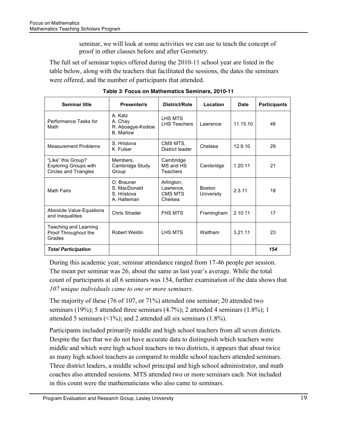seminar, we will look at some activities we can use to teach the concept of proof in other classes before and after Geometry.

The full set of seminar topics offered during the 2010-11 school year are listed in the table below, along with the teachers that facilitated the sessions, the dates the seminars were offered, and the number of participants that attended.

| <b>Seminar title</b>                                                               | <b>Presenter/s</b>                                          | District/Role                                 | Location                    | Date     | <b>Participants</b> |
|------------------------------------------------------------------------------------|-------------------------------------------------------------|-----------------------------------------------|-----------------------------|----------|---------------------|
| Performance Tasks for<br>Math                                                      | A. Katz<br>A. Chay<br>R. Aboagye-Kodioe<br><b>B.</b> Marlow | LHS MTS<br><b>LHS Teachers</b>                | Lawrence                    | 11.15.10 | 46                  |
| <b>Measurement Problems</b>                                                        | S. Hristova<br>K. Fulser                                    | CMS MTS,<br>District leader                   | Chelsea                     | 12.9.10  | 29                  |
| "Like" this Group?<br><b>Exploring Groups with</b><br><b>Circles and Triangles</b> | Members,<br>Cambridge Study<br>Group                        | Cambridge<br>MS and HS<br>Teachers            | Cambridge                   | 1.20.11  | 21                  |
| <b>Math Fairs</b>                                                                  | O. Brauner<br>S. MacDonald<br>S. Hristova<br>A. Halteman    | Arlington,<br>Lawrence.<br>CMS MTS<br>Chelsea | <b>Boston</b><br>University | 2.3.11   | 18                  |
| Absolute Value Equations<br>and Inequalities                                       | Chris Strader                                               | <b>FHS MTS</b>                                | Framingham                  | 2.10.11  | 17                  |
| Teaching and Learning<br>Proof Throughout the<br>Grades                            | Robert Weldin                                               | <b>I HS MTS</b>                               | Waltham                     | 3.21.11  | 23                  |
| <b>Total Participation</b>                                                         |                                                             |                                               |                             |          | 154                 |

**Table 3**"!**Focus on Mathematics Seminars, 2010-11**

During this academic year, seminar attendance ranged from 17-46 people per session. The mean per seminar was 26, about the same as last year's average. While the total count of participants at all 6 seminars was 154, further examination of the data shows that *107 unique individuals came to one or more seminars.*

The majority of these (76 of 107, or 71%) attended one seminar; 20 attended two seminars (19%); 5 attended three seminars (4.7%); 2 attended 4 seminars (1.8%); 1 attended 5 seminars ( $\leq$ 1%); and 2 attended all six seminars (1.8%).

Participants included primarily middle and high school teachers from all seven districts. Despite the fact that we do not have accurate data to distinguish which teachers were middle and which were high school teachers in two districts, it appears that about twice as many high school teachers as compared to middle school teachers attended seminars. Three district leaders, a middle school principal and high school administrator, and math coaches also attended sessions. MTS attended two or more seminars each. Not included in this count were the mathematicians who also came to seminars.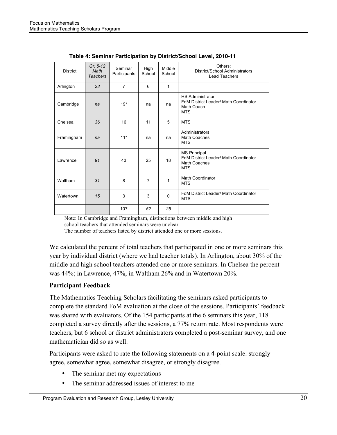| <b>District</b> | Gr. $5-12$<br>Math<br><b>Teachers</b> | Seminar<br>Participants | High<br>School | Middle<br>School | Others:<br>District/School Administrators<br><b>Lead Teachers</b>                                 |
|-----------------|---------------------------------------|-------------------------|----------------|------------------|---------------------------------------------------------------------------------------------------|
| Arlington       | 23                                    | $\overline{7}$          | 6              | 1                |                                                                                                   |
| Cambridge       | na                                    | $19*$                   | na             | na               | <b>HS Administrator</b><br>FoM District Leader/ Math Coordinator<br>Math Coach<br><b>MTS</b>      |
| Chelsea         | 36                                    | 16                      | 11             | 5                | <b>MTS</b>                                                                                        |
| Framingham      | na                                    | $11*$                   | na             | na               | Administrators<br>Math Coaches<br><b>MTS</b>                                                      |
| Lawrence        | 91                                    | 43                      | 25             | 18               | <b>MS Principal</b><br>FoM District Leader/ Math Coordinator<br><b>Math Coaches</b><br><b>MTS</b> |
| Waltham         | 31                                    | 8                       | $\overline{7}$ | 1                | Math Coordinator<br><b>MTS</b>                                                                    |
| Watertown       | 15                                    | 3                       | 3              | $\mathbf 0$      | FoM District Leader/ Math Coordinator<br><b>MTS</b>                                               |
|                 |                                       | 107                     | 52             | 25               |                                                                                                   |

|  |  | Table 4: Seminar Participation by District/School Level, 2010-11 |  |
|--|--|------------------------------------------------------------------|--|
|  |  |                                                                  |  |

Note: In Cambridge and Framingham, distinctions between middle and high school teachers that attended seminars were unclear.

The number of teachers listed by district attended one or more sessions.

We calculated the percent of total teachers that participated in one or more seminars this year by individual district (where we had teacher totals). In Arlington, about 30% of the middle and high school teachers attended one or more seminars. In Chelsea the percent was 44%; in Lawrence, 47%, in Waltham 26% and in Watertown 20%.

#### **Participant Feedback**

The Mathematics Teaching Scholars facilitating the seminars asked participants to complete the standard FoM evaluation at the close of the sessions. Participants' feedback was shared with evaluators. Of the 154 participants at the 6 seminars this year, 118 completed a survey directly after the sessions, a 77% return rate. Most respondents were teachers, but 6 school or district administrators completed a post-seminar survey, and one mathematician did so as well.

Participants were asked to rate the following statements on a 4-point scale: strongly agree, somewhat agree, somewhat disagree, or strongly disagree.

- The seminar met my expectations
- The seminar addressed issues of interest to me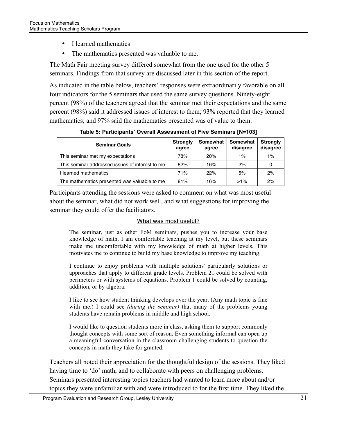- I learned mathematics
- The mathematics presented was valuable to me.

The Math Fair meeting survey differed somewhat from the one used for the other 5 seminars. Findings from that survey are discussed later in this section of the report.

As indicated in the table below, teachers' responses were extraordinarily favorable on all four indicators for the 5 seminars that used the same survey questions. Ninety-eight percent (98%) of the teachers agreed that the seminar met their expectations and the same percent (98%) said it addressed issues of interest to them; 93% reported that they learned mathematics; and 97% said the mathematics presented was of value to them.

| <b>Seminar Goals</b>                            | <b>Strongly</b><br>agree | Somewhat<br>agree | Somewhat<br>disagree | <b>Strongly</b><br>disagree |
|-------------------------------------------------|--------------------------|-------------------|----------------------|-----------------------------|
| This seminar met my expectations                | 78%                      | 20%               | 1%                   | 1%                          |
| This seminar addressed issues of interest to me | 82%                      | 16%               | 2%                   | 0                           |
| I learned mathematics                           | 71%                      | 22%               | 5%                   | 2%                          |
| The mathematics presented was valuable to me    | 81%                      | 16%               | $>1\%$               | 2%                          |

**Table 5: Participants' Overall Assessment of Five Seminars [N=103]**

Participants attending the sessions were asked to comment on what was most useful about the seminar, what did not work well, and what suggestions for improving the seminar they could offer the facilitators.

#### What was most useful?

The seminar, just as other FoM seminars, pushes you to increase your base knowledge of math. I am comfortable teaching at my level, but these seminars make me uncomfortable with my knowledge of math at higher levels. This motivates me to continue to build my base knowledge to improve my teaching.

I continue to enjoy problems with multiple solutions' particularly solutions or approaches that apply to different grade levels. Problem 21 could be solved with perimeters or with systems of equations. Problem 1 could be solved by counting, addition, or by algebra.

I like to see how student thinking develops over the year. (Any math topic is fine with me.) I could see *(during the seminar)* that many of the problems young students have remain problems in middle and high school.

I would like to question students more in class, asking them to support commonly thought concepts with some sort of reason. Even something informal can open up a meaningful conversation in the classroom challenging students to question the concepts in math they take for granted.

Teachers all noted their appreciation for the thoughtful design of the sessions. They liked having time to 'do' math, and to collaborate with peers on challenging problems. Seminars presented interesting topics teachers had wanted to learn more about and/or topics they were unfamiliar with and were introduced to for the first time. They liked the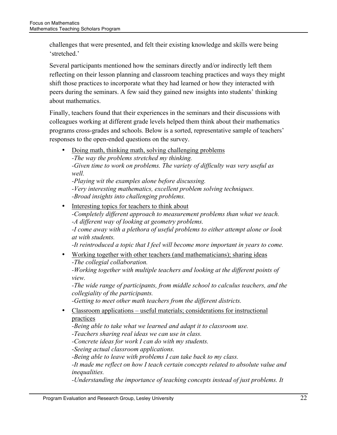challenges that were presented, and felt their existing knowledge and skills were being 'stretched.'

Several participants mentioned how the seminars directly and/or indirectly left them reflecting on their lesson planning and classroom teaching practices and ways they might shift those practices to incorporate what they had learned or how they interacted with peers during the seminars. A few said they gained new insights into students' thinking about mathematics.

Finally, teachers found that their experiences in the seminars and their discussions with colleagues working at different grade levels helped them think about their mathematics programs cross-grades and schools. Below is a sorted, representative sample of teachers' responses to the open-ended questions on the survey.

• Doing math, thinking math, solving challenging problems *-The way the problems stretched my thinking.*

*-Given time to work on problems. The variety of difficulty was very useful as well.*

*-Playing wit the examples alone before discussing. -Very interesting mathematics, excellent problem solving techniques. -Broad insights into challenging problems.*

Interesting topics for teachers to think about *-Completely different approach to measurement problems than what we teach. -A different way of looking at geometry problems.*

*-I come away with a plethora of useful problems to either attempt alone or look at with students.*

*-It reintroduced a topic that I feel will become more important in years to come.*

• Working together with other teachers (and mathematicians); sharing ideas *-The collegial collaboration.*

*-Working together with multiple teachers and looking at the different points of view.*

*-The wide range of participants, from middle school to calculus teachers, and the collegiality of the participants.*

*-Getting to meet other math teachers from the different districts.*

• Classroom applications – useful materials; considerations for instructional practices

*-Being able to take what we learned and adapt it to classroom use.*

*-Teachers sharing real ideas we can use in class.*

*-Concrete ideas for work I can do with my students.*

*-Seeing actual classroom applications.*

*-Being able to leave with problems I can take back to my class.*

*-It made me reflect on how I teach certain concepts related to absolute value and inequalities.*

*-Understanding the importance of teaching concepts instead of just problems. It*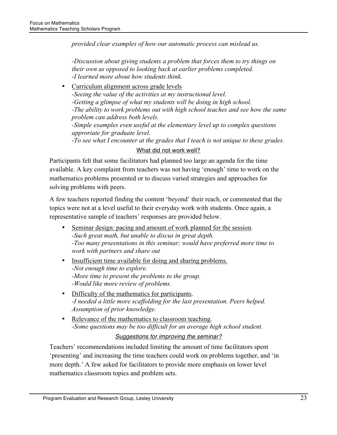*provided clear examples of how our automatic process can mislead us.*

*-Discussion about giving students a problem that forces them to try things on their own as opposed to looking back at earlier problems completed. -I learned more about how students think.*

• Curriculum alignment across grade levels *-Seeing the value of the activities at my instructional level. -Getting a glimpse of what my students will be doing in high school. -The ability to work problems out with high school teaches and see how the same problem can address both levels. -Simple examples even useful at the elementary level up to complex questions approriate for graduate level. -To see what I encounter at the grades that I teach is not unique to these grades.*

# What did not work well?

Participants felt that some facilitators had planned too large an agenda for the time available. A key complaint from teachers was not having 'enough' time to work on the mathematics problems presented or to discuss varied strategies and approaches for solving problems with peers.

A few teachers reported finding the content 'beyond' their reach, or commented that the topics were not at a level useful to their everyday work with students. Once again, a representative sample of teachers' responses are provided below.

- Seminar design: pacing and amount of work planned for the session. *-Such great math, but unable to discus in great depth. -Too many prseentations in this seminar; would have preferred more time to work with partners and share out*
- Insufficient time available for doing and sharing problems. *-Not enough time to explore. -More time to present the problems to the group. -Would like more review of problems.*
- Difficulty of the mathematics for participants. *-I needed a little more scaffolding for the last presentation. Peers helped. Assumption of prior knowledge.*
- Relevance of the mathematics to classroom teaching. *-Some questions may be too difficult for an average high school student.*

*Suggestions for improving the seminar?*

Teachers' recommendations included limiting the amount of time facilitators spent 'presenting' and increasing the time teachers could work on problems together, and 'in more depth.' A few asked for facilitators to provide more emphasis on lower level mathematics classroom topics and problem sets.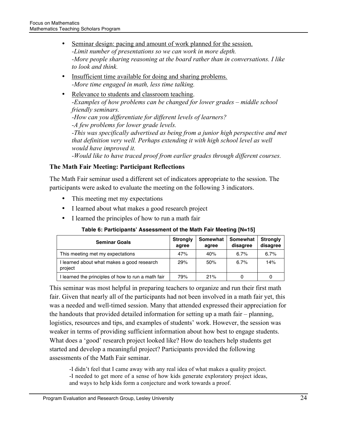- Seminar design: pacing and amount of work planned for the session. *-Limit number of presentations so we can work in more depth. -More people sharing reasoning at the board rather than in conversations. I like to look and think.*
- Insufficient time available for doing and sharing problems. *-More time engaged in math, less time talking.*
- Relevance to students and classroom teaching. *-Examples of how problems can be changed for lower grades – middle school friendly seminars. -How can you differentiate for different levels of learners? -A few problems for lower grade levels. -This was specifically advertised as being from a junior high perspective and met that definition very well. Perhaps extending it with high school level as well would have improved it. -Would like to have traced proof from earlier grades through different courses.*

# **The Math Fair Meeting: Participant Reflections**

The Math Fair seminar used a different set of indicators appropriate to the session. The participants were asked to evaluate the meeting on the following 3 indicators.

- This meeting met my expectations
- I learned about what makes a good research project
- I learned the principles of how to run a math fair

# **Table 6: Participants' Assessment of the Math Fair Meeting [N=15]**

| <b>Seminar Goals</b>                                | <b>Strongly</b><br>agree | Somewhat<br>agree | Somewhat<br>disagree | <b>Strongly</b><br>disagree |
|-----------------------------------------------------|--------------------------|-------------------|----------------------|-----------------------------|
| This meeting met my expectations                    | 47%                      | 40%               | 6.7%                 | 6.7%                        |
| learned about what makes a good research<br>project | 29%                      | 50%               | 6.7%                 | 14%                         |
| learned the principles of how to run a math fair    | 79%                      | 21%               |                      |                             |

This seminar was most helpful in preparing teachers to organize and run their first math fair. Given that nearly all of the participants had not been involved in a math fair yet, this was a needed and well-timed session. Many that attended expressed their appreciation for the handouts that provided detailed information for setting up a math fair – planning, logistics, resources and tips, and examples of students' work. However, the session was weaker in terms of providing sufficient information about how best to engage students. What does a 'good' research project looked like? How do teachers help students get started and develop a meaningful project? Participants provided the following assessments of the Math Fair seminar.

-I didn't feel that I came away with any real idea of what makes a quality project. -I needed to get more of a sense of how kids generate exploratory project ideas, and ways to help kids form a conjecture and work towards a proof.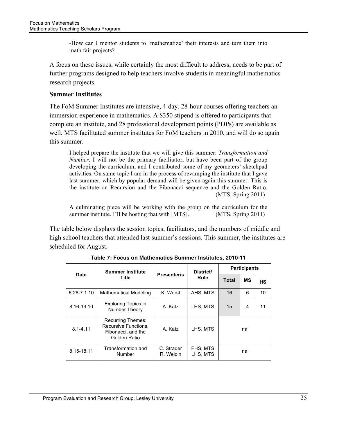-How can I mentor students to 'mathematize' their interests and turn them into math fair projects?

A focus on these issues, while certainly the most difficult to address, needs to be part of further programs designed to help teachers involve students in meaningful mathematics research projects.

### **Summer Institutes**

The FoM Summer Institutes are intensive, 4-day, 28-hour courses offering teachers an immersion experience in mathematics. A \$350 stipend is offered to participants that complete an institute, and 28 professional development points (PDPs) are available as well. MTS facilitated summer institutes for FoM teachers in 2010, and will do so again this summer.

I helped prepare the institute that we will give this summer: *Transformation and Number*. I will not be the primary facilitator, but have been part of the group developing the curriculum, and I contributed some of my geometers' sketchpad activities. On same topic I am in the process of revamping the institute that I gave last summer, which by popular demand will be given again this summer. This is the institute on Recursion and the Fibonacci sequence and the Golden Ratio. (MTS, Spring 2011)

A culminating piece will be working with the group on the curriculum for the summer institute. I'll be hosting that with [MTS]. (MTS, Spring 2011)

The table below displays the session topics, facilitators, and the numbers of middle and high school teachers that attended last summer's sessions. This summer, the institutes are scheduled for August.

|                 | <b>Summer Institute</b>                                                                |                         | District/            | <b>Participants</b> |    |           |  |
|-----------------|----------------------------------------------------------------------------------------|-------------------------|----------------------|---------------------|----|-----------|--|
| Date            | Title                                                                                  | <b>Presenter/s</b>      | <b>Role</b>          | <b>Total</b>        | МS | <b>HS</b> |  |
| $6.28 - 7.1.10$ | <b>Mathematical Modeling</b>                                                           | K. Werst                | AHS, MTS             | 16                  | 6  | 10        |  |
| 8.16-19.10      | <b>Exploring Topics in</b><br>Number Theory                                            | A. Katz                 | LHS, MTS             | 15                  | 4  | 11        |  |
| $8.1 - 4.11$    | <b>Recurring Themes:</b><br>Recursive Functions,<br>Fibonacci, and the<br>Golden Ratio | A. Katz                 | LHS, MTS             |                     | na |           |  |
| 8.15-18.11      | Transformation and<br>Number                                                           | C. Strader<br>R. Weldin | FHS, MTS<br>LHS. MTS |                     | na |           |  |

**Table 7: Focus on Mathematics Summer Institutes, 2010-11**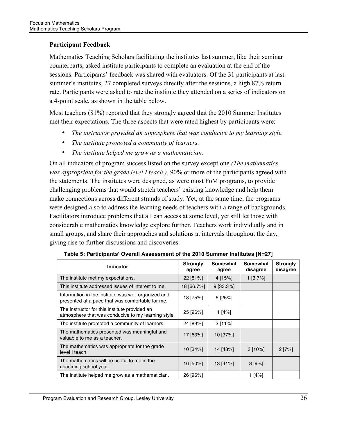# **Participant Feedback**

Mathematics Teaching Scholars facilitating the institutes last summer, like their seminar counterparts, asked institute participants to complete an evaluation at the end of the sessions. Participants' feedback was shared with evaluators. Of the 31 participants at last summer's institutes, 27 completed surveys directly after the sessions, a high 87% return rate. Participants were asked to rate the institute they attended on a series of indicators on a 4-point scale, as shown in the table below.

Most teachers (81%) reported that they strongly agreed that the 2010 Summer Institutes met their expectations. The three aspects that were rated highest by participants were:

- *The instructor provided an atmosphere that was conducive to my learning style.*
- *The institute promoted a community of learners.*
- *The institute helped me grow as a mathematician.*

On all indicators of program success listed on the survey except one *(The mathematics was appropriate for the grade level I teach.)*, 90% or more of the participants agreed with the statements. The institutes were designed, as were most FoM programs, to provide challenging problems that would stretch teachers' existing knowledge and help them make connections across different strands of study. Yet, at the same time, the programs were designed also to address the learning needs of teachers with a range of backgrounds. Facilitators introduce problems that all can access at some level, yet still let those with considerable mathematics knowledge explore further. Teachers work individually and in small groups, and share their approaches and solutions at intervals throughout the day, giving rise to further discussions and discoveries.

| <b>Indicator</b>                                                                                        | <b>Strongly</b><br>agree | Somewhat<br>agree | <b>Somewhat</b><br>disagree | <b>Strongly</b><br>disagree |
|---------------------------------------------------------------------------------------------------------|--------------------------|-------------------|-----------------------------|-----------------------------|
| The institute met my expectations.                                                                      | 22 [81%]                 | 4 [15%]           | $1$ [3.7%]                  |                             |
| This institute addressed issues of interest to me.                                                      | 18 [66.7%]               | 9 [33.3%]         |                             |                             |
| Information in the institute was well organized and<br>presented at a pace that was comfortable for me. | 18 [75%]                 | $6$ [25%]         |                             |                             |
| The instructor for this institute provided an<br>atmosphere that was conducive to my learning style.    | 25 [96%]                 | 1[4%]             |                             |                             |
| The institute promoted a community of learners.                                                         | 24 [89%]                 | 3[11%]            |                             |                             |
| The mathematics presented was meaningful and<br>valuable to me as a teacher.                            | 17 [63%]                 | 10 [37%]          |                             |                             |
| The mathematics was appropriate for the grade<br>level I teach.                                         | 10 [34%]                 | 14 [48%]          | 3[10%]                      | $2 [7\%]$                   |
| The mathematics will be useful to me in the<br>upcoming school year.                                    | 16 [50%]                 | 13 [41%]          | 3 [9%]                      |                             |
| The institute helped me grow as a mathematician.                                                        | 26 [96%]                 |                   | 1[4%]                       |                             |

**Table 5: Participants' Overall Assessment of the 2010 Summer Institutes [N=27]**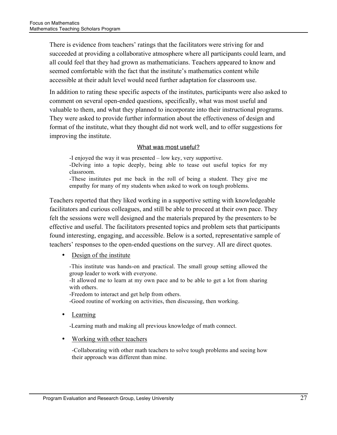There is evidence from teachers' ratings that the facilitators were striving for and succeeded at providing a collaborative atmosphere where all participants could learn, and all could feel that they had grown as mathematicians. Teachers appeared to know and seemed comfortable with the fact that the institute's mathematics content while accessible at their adult level would need further adaptation for classroom use.

In addition to rating these specific aspects of the institutes, participants were also asked to comment on several open-ended questions, specifically, what was most useful and valuable to them, and what they planned to incorporate into their instructional programs. They were asked to provide further information about the effectiveness of design and format of the institute, what they thought did not work well, and to offer suggestions for improving the institute.

#### What was most useful?

-I enjoyed the way it was presented – low key, very supportive. -Delving into a topic deeply, being able to tease out useful topics for my classroom. -These institutes put me back in the roll of being a student. They give me

empathy for many of my students when asked to work on tough problems.

Teachers reported that they liked working in a supportive setting with knowledgeable facilitators and curious colleagues, and still be able to proceed at their own pace. They felt the sessions were well designed and the materials prepared by the presenters to be effective and useful. The facilitators presented topics and problem sets that participants found interesting, engaging, and accessible. Below is a sorted, representative sample of teachers' responses to the open-ended questions on the survey. All are direct quotes.

• Design of the institute

-This institute was hands-on and practical. The small group setting allowed the group leader to work with everyone.

-It allowed me to learn at my own pace and to be able to get a lot from sharing with others.

-Freedom to interact and get help from others.

-Good routine of working on activities, then discussing, then working.

• Learning

-Learning math and making all previous knowledge of math connect.

• Working with other teachers

-Collaborating with other math teachers to solve tough problems and seeing how their approach was different than mine.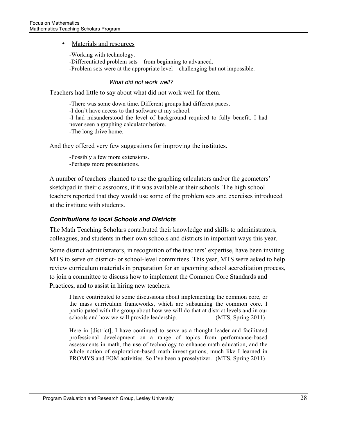#### Materials and resources

-Working with technology. -Differentiated problem sets – from beginning to advanced. -Problem sets were at the appropriate level – challenging but not impossible.

#### *What did not work well?*

Teachers had little to say about what did not work well for them.

-There was some down time. Different groups had different paces. -I don't have access to that software at my school. -I had misunderstood the level of background required to fully benefit. I had never seen a graphing calculator before. -The long drive home.

And they offered very few suggestions for improving the institutes.

-Possibly a few more extensions. -Perhaps more presentations.

A number of teachers planned to use the graphing calculators and/or the geometers' sketchpad in their classrooms, if it was available at their schools. The high school teachers reported that they would use some of the problem sets and exercises introduced at the institute with students.

#### *Contributions to local Schools and Districts*

The Math Teaching Scholars contributed their knowledge and skills to administrators, colleagues, and students in their own schools and districts in important ways this year.

Some district administrators, in recognition of the teachers' expertise, have been inviting MTS to serve on district- or school-level committees. This year, MTS were asked to help review curriculum materials in preparation for an upcoming school accreditation process, to join a committee to discuss how to implement the Common Core Standards and Practices, and to assist in hiring new teachers.

I have contributed to some discussions about implementing the common core, or the mass curriculum frameworks, which are subsuming the common core. I participated with the group about how we will do that at district levels and in our schools and how we will provide leadership. (MTS, Spring 2011)

Here in [district], I have continued to serve as a thought leader and facilitated professional development on a range of topics from performance-based assessments in math, the use of technology to enhance math education, and the whole notion of exploration-based math investigations, much like I learned in PROMYS and FOM activities. So I've been a proselytizer. (MTS, Spring 2011)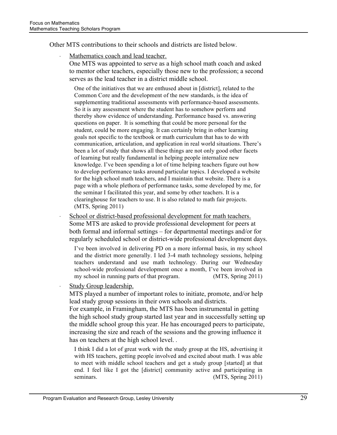Other MTS contributions to their schools and districts are listed below.

Mathematics coach and lead teacher.

One MTS was appointed to serve as a high school math coach and asked to mentor other teachers, especially those new to the profession; a second serves as the lead teacher in a district middle school.

One of the initiatives that we are enthused about in [district], related to the Common Core and the development of the new standards, is the idea of supplementing traditional assessments with performance-based assessments. So it is any assessment where the student has to somehow perform and thereby show evidence of understanding. Performance based vs. answering questions on paper. It is something that could be more personal for the student, could be more engaging. It can certainly bring in other learning goals not specific to the textbook or math curriculum that has to do with communication, articulation, and application in real world situations. There's been a lot of study that shows all these things are not only good other facets of learning but really fundamental in helping people internalize new knowledge. I've been spending a lot of time helping teachers figure out how to develop performance tasks around particular topics. I developed a website for the high school math teachers, and I maintain that website. There is a page with a whole plethora of performance tasks, some developed by me, for the seminar I facilitated this year, and some by other teachers. It is a clearinghouse for teachers to use. It is also related to math fair projects. (MTS, Spring 2011)

School or district-based professional development for math teachers. Some MTS are asked to provide professional development for peers at both formal and informal settings – for departmental meetings and/or for regularly scheduled school or district-wide professional development days.

I've been involved in delivering PD on a more informal basis, in my school and the district more generally. I led 3-4 math technology sessions, helping teachers understand and use math technology. During our Wednesday school-wide professional development once a month, I've been involved in my school in running parts of that program. (MTS, Spring 2011)

Study Group leadership.

MTS played a number of important roles to initiate, promote, and/or help lead study group sessions in their own schools and districts.

For example, in Framingham, the MTS has been instrumental in getting the high school study group started last year and in successfully setting up the middle school group this year. He has encouraged peers to participate, increasing the size and reach of the sessions and the growing influence it has on teachers at the high school level. *.*

I think I did a lot of great work with the study group at the HS, advertising it with HS teachers, getting people involved and excited about math. I was able to meet with middle school teachers and get a study group [started] at that end. I feel like I got the [district] community active and participating in seminars. (MTS, Spring 2011)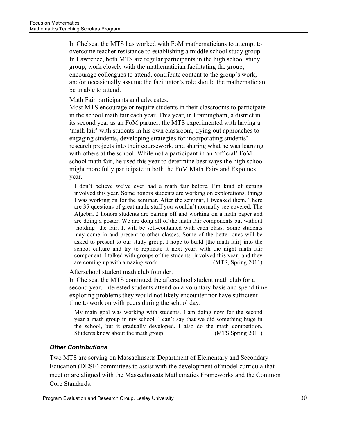In Chelsea, the MTS has worked with FoM mathematicians to attempt to overcome teacher resistance to establishing a middle school study group. In Lawrence, both MTS are regular participants in the high school study group, work closely with the mathematician facilitating the group, encourage colleagues to attend, contribute content to the group's work, and/or occasionally assume the facilitator's role should the mathematician be unable to attend.

Math Fair participants and advocates.

Most MTS encourage or require students in their classrooms to participate in the school math fair each year. This year, in Framingham, a district in its second year as an FoM partner, the MTS experimented with having a 'math fair' with students in his own classroom, trying out approaches to engaging students, developing strategies for incorporating students' research projects into their coursework, and sharing what he was learning with others at the school. While not a participant in an 'official' FoM school math fair, he used this year to determine best ways the high school might more fully participate in both the FoM Math Fairs and Expo next year.

I don't believe we've ever had a math fair before. I'm kind of getting involved this year. Some honors students are working on explorations, things I was working on for the seminar. After the seminar, I tweaked them. There are 35 questions of great math, stuff you wouldn't normally see covered. The Algebra 2 honors students are pairing off and working on a math paper and are doing a poster. We are dong all of the math fair components but without [holding] the fair. It will be self-contained with each class. Some students may come in and present to other classes. Some of the better ones will be asked to present to our study group. I hope to build [the math fair] into the school culture and try to replicate it next year, with the night math fair component. I talked with groups of the students [involved this year] and they are coming up with amazing work. (MTS, Spring 2011)

Afterschool student math club founder.

In Chelsea, the MTS continued the afterschool student math club for a second year. Interested students attend on a voluntary basis and spend time exploring problems they would not likely encounter nor have sufficient time to work on with peers during the school day.

My main goal was working with students. I am doing now for the second year a math group in my school. I can't say that we did something huge in the school, but it gradually developed. I also do the math competition. Students know about the math group. (MTS Spring 2011)

# *Other Contributions*

Two MTS are serving on Massachusetts Department of Elementary and Secondary Education (DESE) committees to assist with the development of model curricula that meet or are aligned with the Massachusetts Mathematics Frameworks and the Common Core Standards.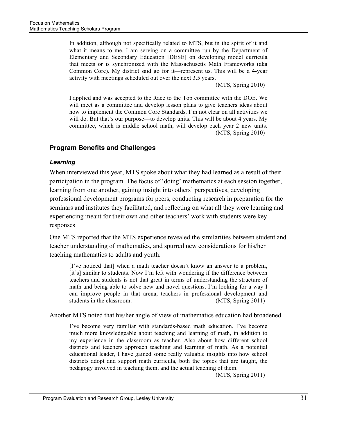In addition, although not specifically related to MTS, but in the spirit of it and what it means to me, I am serving on a committee run by the Department of Elementary and Secondary Education [DESE] on developing model curricula that meets or is synchronized with the Massachusetts Math Frameworks (aka Common Core). My district said go for it—represent us. This will be a 4-year activity with meetings scheduled out over the next 3.5 years.

(MTS, Spring 2010)

I applied and was accepted to the Race to the Top committee with the DOE. We will meet as a committee and develop lesson plans to give teachers ideas about how to implement the Common Core Standards. I'm not clear on all activities we will do. But that's our purpose—to develop units. This will be about 4 years. My committee, which is middle school math, will develop each year 2 new units. (MTS, Spring 2010)

# **Program Benefits and Challenges**

#### *Learning*

When interviewed this year, MTS spoke about what they had learned as a result of their participation in the program. The focus of 'doing' mathematics at each session together, learning from one another, gaining insight into others' perspectives, developing professional development programs for peers, conducting research in preparation for the seminars and institutes they facilitated, and reflecting on what all they were learning and experiencing meant for their own and other teachers' work with students were key responses

One MTS reported that the MTS experience revealed the similarities between student and teacher understanding of mathematics, and spurred new considerations for his/her teaching mathematics to adults and youth.

[I've noticed that] when a math teacher doesn't know an answer to a problem, [it's] similar to students. Now I'm left with wondering if the difference between teachers and students is not that great in terms of understanding the structure of math and being able to solve new and novel questions. I'm looking for a way I can improve people in that arena, teachers in professional development and students in the classroom. (MTS, Spring 2011)

Another MTS noted that his/her angle of view of mathematics education had broadened.

I've become very familiar with standards-based math education. I've become much more knowledgeable about teaching and learning of math, in addition to my experience in the classroom as teacher. Also about how different school districts and teachers approach teaching and learning of math. As a potential educational leader, I have gained some really valuable insights into how school districts adopt and support math curricula, both the topics that are taught, the pedagogy involved in teaching them, and the actual teaching of them.

(MTS, Spring 2011)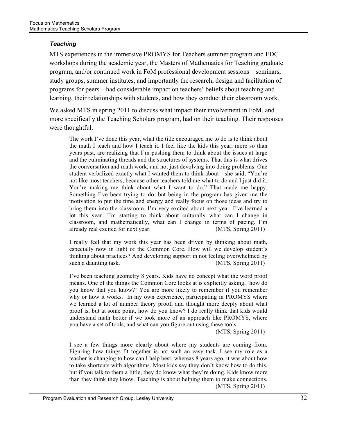#### *Teaching*

MTS experiences in the immersive PROMYS for Teachers summer program and EDC workshops during the academic year, the Masters of Mathematics for Teaching graduate program, and/or continued work in FoM professional development sessions – seminars, study groups, summer institutes, and importantly the research, design and facilitation of programs for peers – had considerable impact on teachers' beliefs about teaching and learning, their relationships with students, and how they conduct their classroom work.

We asked MTS in spring 2011 to discuss what impact their involvement in FoM, and more specifically the Teaching Scholars program, had on their teaching. Their responses were thoughtful.

The work I've done this year, what the title encouraged me to do is to think about the math I teach and how I teach it. I feel like the kids this year, more so than years past, are realizing that I'm pushing them to think about the issues at large and the culminating threads and the structures of systems. That this is what drives the conversation and math work, and not just devolving into doing problems. One student verbalized exactly what I wanted them to think about—she said, "You're not like most teachers, because other teachers told me what to do and I just did it. You're making me think about what I want to do." That made me happy. Something I've been trying to do, but being in the program has given me the motivation to put the time and energy and really focus on those ideas and try to bring them into the classroom. I'm very excited about next year. I've learned a lot this year. I'm starting to think about culturally what can I change in classroom, and mathematically, what can I change in terms of pacing. I'm already real excited for next year. (MTS, Spring 2011)

I really feel that my work this year has been driven by thinking about math, especially now in light of the Common Core. How will we develop student's thinking about practices? And developing support in not feeling overwhelmed by such a daunting task. (MTS, Spring 2011)

I've been teaching geometry 8 years. Kids have no concept what the word proof means. One of the things the Common Core looks at is explicitly asking, 'how do you know that you know?' You are more likely to remember if you remember why or how it works. In my own experience, participating in PROMYS where we learned a lot of number theory proof, and thought more deeply about what proof is, but at some point, how do you know? I do really think that kids would understand math better if we took more of an approach like PROMYS, where you have a set of tools, and what can you figure out using these tools.

(MTS, Spring 2011)

I see a few things more clearly about where my students are coming from. Figuring how things fit together is not such an easy task. I see my role as a teacher is changing to how can I help best, whereas 8 years ago, it was about how to take shortcuts with algorithms. Most kids say they don't know how to do this, but if you talk to them a little, they do know what they're doing. Kids know more than they think they know. Teaching is about helping them to make connections. (MTS, Spring 2011)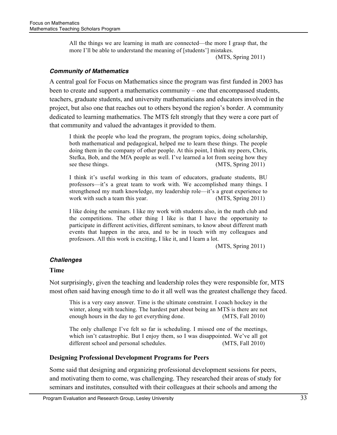All the things we are learning in math are connected—the more I grasp that, the more I'll be able to understand the meaning of [students'] mistakes.

(MTS, Spring 2011)

#### *Community of Mathematics*

A central goal for Focus on Mathematics since the program was first funded in 2003 has been to create and support a mathematics community – one that encompassed students, teachers, graduate students, and university mathematicians and educators involved in the project, but also one that reaches out to others beyond the region's border. A community dedicated to learning mathematics. The MTS felt strongly that they were a core part of that community and valued the advantages it provided to them.

I think the people who lead the program, the program topics, doing scholarship, both mathematical and pedagogical, helped me to learn these things. The people doing them in the company of other people. At this point, I think my peers, Chris, Stefka, Bob, and the MfA people as well. I've learned a lot from seeing how they see these things. (MTS, Spring 2011)

I think it's useful working in this team of educators, graduate students, BU professors—it's a great team to work with. We accomplished many things. I strengthened my math knowledge, my leadership role—it's a great experience to work with such a team this year. (MTS, Spring 2011)

I like doing the seminars. I like my work with students also, in the math club and the competitions. The other thing I like is that I have the opportunity to participate in different activities, different seminars, to know about different math events that happen in the area, and to be in touch with my colleagues and professors. All this work is exciting, I like it, and I learn a lot.

(MTS, Spring 2011)

#### *Challenges*

#### **Time**

Not surprisingly, given the teaching and leadership roles they were responsible for, MTS most often said having enough time to do it all well was the greatest challenge they faced.

This is a very easy answer. Time is the ultimate constraint. I coach hockey in the winter, along with teaching. The hardest part about being an MTS is there are not enough hours in the day to get everything done. (MTS, Fall 2010)

The only challenge I've felt so far is scheduling. I missed one of the meetings, which isn't catastrophic. But I enjoy them, so I was disappointed. We've all got different school and personal schedules. (MTS, Fall 2010)

#### **Designing Professional Development Programs for Peers**

Some said that designing and organizing professional development sessions for peers, and motivating them to come, was challenging. They researched their areas of study for seminars and institutes, consulted with their colleagues at their schools and among the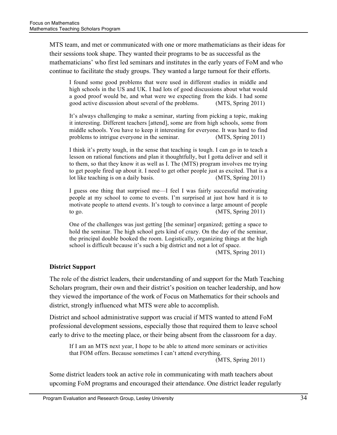MTS team, and met or communicated with one or more mathematicians as their ideas for their sessions took shape. They wanted their programs to be as successful as the mathematicians' who first led seminars and institutes in the early years of FoM and who continue to facilitate the study groups. They wanted a large turnout for their efforts.

I found some good problems that were used in different studies in middle and high schools in the US and UK. I had lots of good discussions about what would a good proof would be, and what were we expecting from the kids. I had some good active discussion about several of the problems. (MTS, Spring 2011)

It's always challenging to make a seminar, starting from picking a topic, making it interesting. Different teachers [attend], some are from high schools, some from middle schools. You have to keep it interesting for everyone. It was hard to find problems to intrigue everyone in the seminar. (MTS, Spring 2011)

I think it's pretty tough, in the sense that teaching is tough. I can go in to teach a lesson on rational functions and plan it thoughtfully, but I gotta deliver and sell it to them, so that they know it as well as I. The (MTS) program involves me trying to get people fired up about it. I need to get other people just as excited. That is a lot like teaching is on a daily basis. (MTS, Spring 2011)

I guess one thing that surprised me—I feel I was fairly successful motivating people at my school to come to events. I'm surprised at just how hard it is to motivate people to attend events. It's tough to convince a large amount of people to go.  $(MTS, Spring 2011)$ 

One of the challenges was just getting [the seminar] organized; getting a space to hold the seminar. The high school gets kind of crazy. On the day of the seminar, the principal double booked the room. Logistically, organizing things at the high school is difficult because it's such a big district and not a lot of space.

(MTS, Spring 2011)

# **District Support**

The role of the district leaders, their understanding of and support for the Math Teaching Scholars program, their own and their district's position on teacher leadership, and how they viewed the importance of the work of Focus on Mathematics for their schools and district, strongly influenced what MTS were able to accomplish.

District and school administrative support was crucial if MTS wanted to attend FoM professional development sessions, especially those that required them to leave school early to drive to the meeting place, or their being absent from the classroom for a day.

If I am an MTS next year, I hope to be able to attend more seminars or activities that FOM offers. Because sometimes I can't attend everything. (MTS, Spring 2011)

Some district leaders took an active role in communicating with math teachers about upcoming FoM programs and encouraged their attendance. One district leader regularly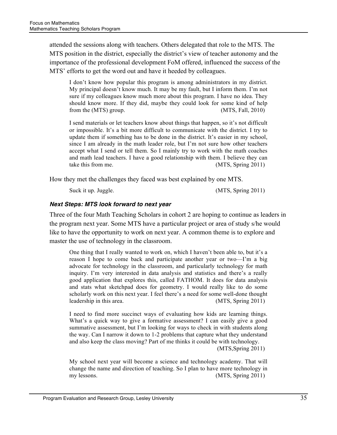attended the sessions along with teachers. Others delegated that role to the MTS. The MTS position in the district, especially the district's view of teacher autonomy and the importance of the professional development FoM offered, influenced the success of the MTS' efforts to get the word out and have it heeded by colleagues.

I don't know how popular this program is among administrators in my district. My principal doesn't know much. It may be my fault, but I inform them. I'm not sure if my colleagues know much more about this program. I have no idea. They should know more. If they did, maybe they could look for some kind of help from the (MTS) group. (MTS, Fall, 2010)

I send materials or let teachers know about things that happen, so it's not difficult or impossible. It's a bit more difficult to communicate with the district. I try to update them if something has to be done in the district. It's easier in my school, since I am already in the math leader role, but I'm not sure how other teachers accept what I send or tell them. So I mainly try to work with the math coaches and math lead teachers. I have a good relationship with them. I believe they can take this from me. (MTS, Spring 2011)

How they met the challenges they faced was best explained by one MTS.

Suck it up. Juggle. (MTS, Spring 2011)

#### *Next Steps: MTS look forward to next year*

Three of the four Math Teaching Scholars in cohort 2 are hoping to continue as leaders in the program next year. Some MTS have a particular project or area of study s/he would like to have the opportunity to work on next year. A common theme is to explore and master the use of technology in the classroom.

One thing that I really wanted to work on, which I haven't been able to, but it's a reason I hope to come back and participate another year or two—I'm a big advocate for technology in the classroom, and particularly technology for math inquiry. I'm very interested in data analysis and statistics and there's a really good application that explores this, called FATHOM. It does for data analysis and stats what sketchpad does for geometry. I would really like to do some scholarly work on this next year. I feel there's a need for some well-done thought leadership in this area. (MTS, Spring 2011)

I need to find more succinct ways of evaluating how kids are learning things. What's a quick way to give a formative assessment? I can easily give a good summative assessment, but I'm looking for ways to check in with students along the way. Can I narrow it down to 1-2 problems that capture what they understand and also keep the class moving? Part of me thinks it could be with technology.

(MTS,Spring 2011)

My school next year will become a science and technology academy. That will change the name and direction of teaching. So I plan to have more technology in my lessons. (MTS, Spring 2011)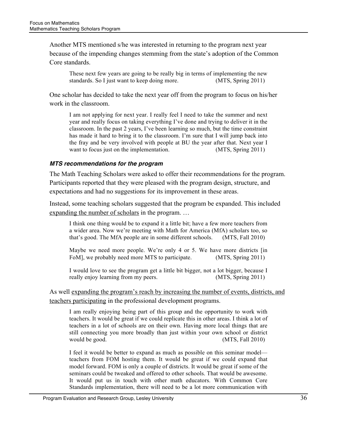Another MTS mentioned s/he was interested in returning to the program next year because of the impending changes stemming from the state's adoption of the Common Core standards.

These next few years are going to be really big in terms of implementing the new standards. So I just want to keep doing more. (MTS, Spring 2011)

One scholar has decided to take the next year off from the program to focus on his/her work in the classroom.

I am not applying for next year. I really feel I need to take the summer and next year and really focus on taking everything I've done and trying to deliver it in the classroom. In the past 2 years, I've been learning so much, but the time constraint has made it hard to bring it to the classroom. I'm sure that I will jump back into the fray and be very involved with people at BU the year after that. Next year I want to focus just on the implementation. (MTS, Spring 2011)

#### *MTS recommendations for the program*

The Math Teaching Scholars were asked to offer their recommendations for the program. Participants reported that they were pleased with the program design, structure, and expectations and had no suggestions for its improvement in these areas.

Instead, some teaching scholars suggested that the program be expanded. This included expanding the number of scholars in the program. …

I think one thing would be to expand it a little bit; have a few more teachers from a wider area. Now we're meeting with Math for America (MfA) scholars too, so that's good. The MfA people are in some different schools. (MTS, Fall 2010)

Maybe we need more people. We're only 4 or 5. We have more districts [in FoM, we probably need more MTS to participate. (MTS, Spring 2011)

I would love to see the program get a little bit bigger, not a lot bigger, because I really enjoy learning from my peers. (MTS, Spring 2011)

As well expanding the program's reach by increasing the number of events, districts, and teachers participating in the professional development programs.

I am really enjoying being part of this group and the opportunity to work with teachers. It would be great if we could replicate this in other areas. I think a lot of teachers in a lot of schools are on their own. Having more local things that are still connecting you more broadly than just within your own school or district would be good. (MTS, Fall 2010)

I feel it would be better to expand as much as possible on this seminar model teachers from FOM hosting them. It would be great if we could expand that model forward. FOM is only a couple of districts. It would be great if some of the seminars could be tweaked and offered to other schools. That would be awesome. It would put us in touch with other math educators. With Common Core Standards implementation, there will need to be a lot more communication with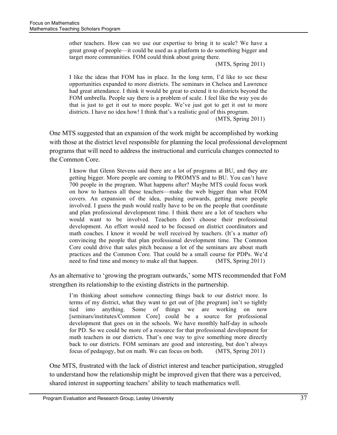the Common Core.

other teachers. How can we use our expertise to bring it to scale? We have a great group of people—it could be used as a platform to do something bigger and target more communities. FOM could think about going there.

(MTS, Spring 2011)

I like the ideas that FOM has in place. In the long term, I'd like to see these opportunities expanded to more districts. The seminars in Chelsea and Lawrence had great attendance. I think it would be great to extend it to districts beyond the FOM umbrella. People say there is a problem of scale. I feel like the way you do that is just to get it out to more people. We've just got to get it out to more districts. I have no idea how! I think that's a realistic goal of this program. (MTS, Spring 2011)

One MTS suggested that an expansion of the work might be accomplished by working with those at the district level responsible for planning the local professional development programs that will need to address the instructional and curricula changes connected to

> I know that Glenn Stevens said there are a lot of programs at BU, and they are getting bigger. More people are coming to PROMYS and to BU. You can't have 700 people in the program. What happens after? Maybe MTS could focus work on how to harness all these teachers—make the web bigger than what FOM covers. An expansion of the idea, pushing outwards, getting more people involved. I guess the push would really have to be on the people that coordinate and plan professional development time. I think there are a lot of teachers who would want to be involved. Teachers don't choose their professional development. An effort would need to be focused on district coordinators and math coaches. I know it would be well received by teachers. (It's a matter of) convincing the people that plan professional development time. The Common Core could drive that sales pitch because a lot of the seminars are about math practices and the Common Core. That could be a small course for PDPs. We'd need to find time and money to make all that happen. (MTS, Spring 2011)

As an alternative to 'growing the program outwards,' some MTS recommended that FoM strengthen its relationship to the existing districts in the partnership.

I'm thinking about somehow connecting things back to our district more. In terms of my district, what they want to get out of [the program] isn't so tightly tied into anything. Some of things we are working on now [seminars/institutes/Common Core] could be a source for professional development that goes on in the schools. We have monthly half-day in schools for PD. So we could be more of a resource for that professional development for math teachers in our districts. That's one way to give something more directly back to our districts. FOM seminars are good and interesting, but don't always focus of pedagogy, but on math. We can focus on both. (MTS, Spring 2011)

One MTS, frustrated with the lack of district interest and teacher participation, struggled to understand how the relationship might be improved given that there was a perceived, shared interest in supporting teachers' ability to teach mathematics well.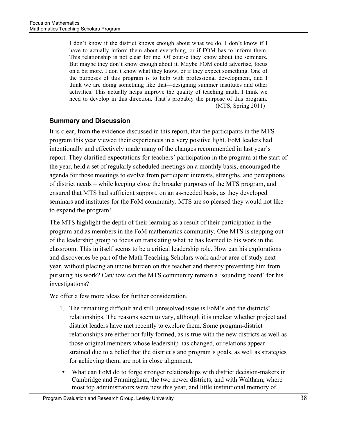I don't know if the district knows enough about what we do. I don't know if I have to actually inform them about everything, or if FOM has to inform them. This relationship is not clear for me. Of course they know about the seminars. But maybe they don't know enough about it. Maybe FOM could advertise, focus on a bit more. I don't know what they know, or if they expect something. One of the purposes of this program is to help with professional development, and I think we are doing something like that—designing summer institutes and other activities. This actually helps improve the quality of teaching math. I think we need to develop in this direction. That's probably the purpose of this program. (MTS, Spring 2011)

# **Summary and Discussion**

It is clear, from the evidence discussed in this report, that the participants in the MTS program this year viewed their experiences in a very positive light. FoM leaders had intentionally and effectively made many of the changes recommended in last year's report. They clarified expectations for teachers' participation in the program at the start of the year, held a set of regularly scheduled meetings on a monthly basis, encouraged the agenda for those meetings to evolve from participant interests, strengths, and perceptions of district needs – while keeping close the broader purposes of the MTS program, and ensured that MTS had sufficient support, on an as-needed basis, as they developed seminars and institutes for the FoM community. MTS are so pleased they would not like to expand the program!

The MTS highlight the depth of their learning as a result of their participation in the program and as members in the FoM mathematics community. One MTS is stepping out of the leadership group to focus on translating what he has learned to his work in the classroom. This in itself seems to be a critical leadership role. How can his explorations and discoveries be part of the Math Teaching Scholars work and/or area of study next year, without placing an undue burden on this teacher and thereby preventing him from pursuing his work? Can/how can the MTS community remain a 'sounding board' for his investigations?

We offer a few more ideas for further consideration.

- 1. The remaining difficult and still unresolved issue is FoM's and the districts' relationships. The reasons seem to vary, although it is unclear whether project and district leaders have met recently to explore them. Some program-district relationships are either not fully formed, as is true with the new districts as well as those original members whose leadership has changed, or relations appear strained due to a belief that the district's and program's goals, as well as strategies for achieving them, are not in close alignment.
- What can FoM do to forge stronger relationships with district decision-makers in Cambridge and Framingham, the two newer districts, and with Waltham, where most top administrators were new this year, and little institutional memory of